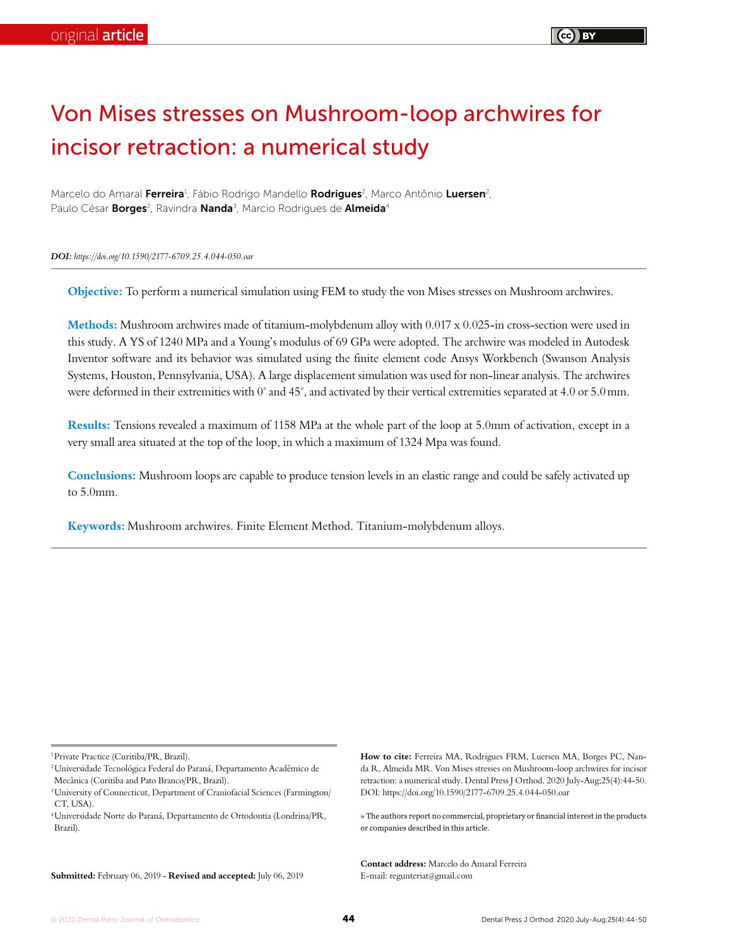# Von Mises stresses on Mushroom-loop archwires for incisor retraction: a numerical study

Marcelo do Amaral Ferreira<sup>1</sup>, Fábio Rodrigo Mandello **Rodrigues**?, Marco Antônio **Luersen**?, Paulo César **Borges**<sup>2</sup>, Ravindra Nanda<sup>3</sup>, Marcio Rodrigues de Almeida<sup>4</sup>

*DOI: https://doi.org/10.1590/2177-6709.25.4.044-050.oar*

**Objective:** To perform a numerical simulation using FEM to study the von Mises stresses on Mushroom archwires.

**Methods:** Mushroom archwires made of titanium-molybdenum alloy with 0.017 x 0.025-in cross-section were used in this study. A YS of 1240 MPa and a Young's modulus of 69 GPa were adopted. The archwire was modeled in Autodesk Inventor software and its behavior was simulated using the finite element code Ansys Workbench (Swanson Analysis Systems, Houston, Pennsylvania, USA). A large displacement simulation was used for non-linear analysis. The archwires were deformed in their extremities with 0° and 45°, and activated by their vertical extremities separated at 4.0 or 5.0mm.

**Results:** Tensions revealed a maximum of 1158 MPa at the whole part of the loop at 5.0mm of activation, except in a very small area situated at the top of the loop, in which a maximum of 1324 Mpa was found.

**Conclusions:** Mushroom loops are capable to produce tension levels in an elastic range and could be safely activated up to 5.0mm.

**Keywords:** Mushroom archwires. Finite Element Method. Titanium-molybdenum alloys.

1Private Practice (Curitiba/PR, Brazil).

**Contact address:** Marcelo do Amaral Ferreira E-mail: regunteriat@gmail.com

**Submitted:** February 06, 2019 - **Revised and accepted:** July 06, 2019

<sup>2</sup>Universidade Tecnológica Federal do Paraná, Departamento Acadêmico de Mecânica (Curitiba and Pato Branco/PR, Brazil).

<sup>&</sup>lt;sup>3</sup>University of Connecticut, Department of Craniofacial Sciences (Farmington/ CT, USA).

<sup>4</sup>Universidade Norte do Paraná, Departamento de Ortodontia (Londrina/PR, Brazil).

**How to cite:** Ferreira MA, Rodrigues FRM, Luersen MA, Borges PC, Nanda R, Almeida MR. Von Mises stresses on Mushroom-loop archwires for incisor retraction: a numerical study. Dental Press J Orthod. 2020 July-Aug;25(4):44-50. DOI: https://doi.org/10.1590/2177-6709.25.4.044-050.oar

<sup>»</sup> The authors report no commercial, proprietary or financial interest in the products or companies described in this article.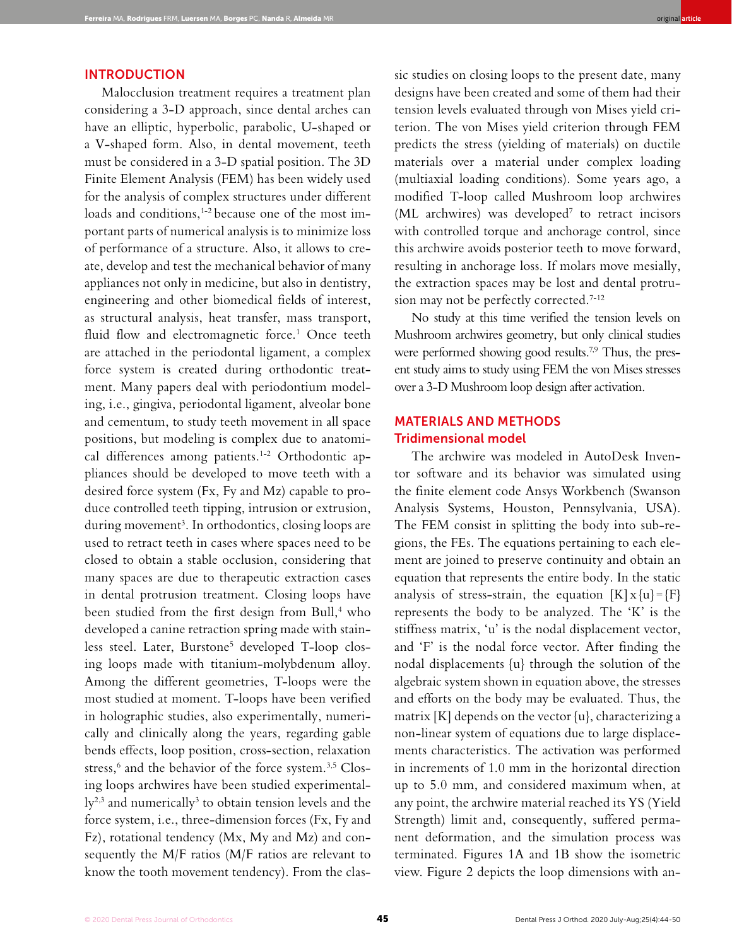## INTRODUCTION

Malocclusion treatment requires a treatment plan considering a 3-D approach, since dental arches can have an elliptic, hyperbolic, parabolic, U-shaped or a V-shaped form. Also, in dental movement, teeth must be considered in a 3-D spatial position. The 3D Finite Element Analysis (FEM) has been widely used for the analysis of complex structures under different loads and conditions,<sup>1-2</sup> because one of the most important parts of numerical analysis is to minimize loss of performance of a structure. Also, it allows to create, develop and test the mechanical behavior of many appliances not only in medicine, but also in dentistry, engineering and other biomedical fields of interest, as structural analysis, heat transfer, mass transport, fluid flow and electromagnetic force.<sup>1</sup> Once teeth are attached in the periodontal ligament, a complex force system is created during orthodontic treatment. Many papers deal with periodontium modeling, i.e., gingiva, periodontal ligament, alveolar bone and cementum, to study teeth movement in all space positions, but modeling is complex due to anatomical differences among patients.<sup>1-2</sup> Orthodontic appliances should be developed to move teeth with a desired force system (Fx, Fy and Mz) capable to produce controlled teeth tipping, intrusion or extrusion, during movement3 . In orthodontics, closing loops are used to retract teeth in cases where spaces need to be closed to obtain a stable occlusion, considering that many spaces are due to therapeutic extraction cases in dental protrusion treatment. Closing loops have been studied from the first design from Bull,<sup>4</sup> who developed a canine retraction spring made with stainless steel. Later, Burstone5 developed T-loop closing loops made with titanium-molybdenum alloy. Among the different geometries, T-loops were the most studied at moment. T-loops have been verified in holographic studies, also experimentally, numerically and clinically along the years, regarding gable bends effects, loop position, cross-section, relaxation stress,<sup>6</sup> and the behavior of the force system.<sup>3,5</sup> Closing loops archwires have been studied experimentally<sup>2,3</sup> and numerically<sup>3</sup> to obtain tension levels and the force system, i.e., three-dimension forces (Fx, Fy and Fz), rotational tendency (Mx, My and Mz) and consequently the M/F ratios (M/F ratios are relevant to know the tooth movement tendency). From the clas-

sic studies on closing loops to the present date, many designs have been created and some of them had their tension levels evaluated through von Mises yield criterion. The von Mises yield criterion through FEM predicts the stress (yielding of materials) on ductile materials over a material under complex loading (multiaxial loading conditions). Some years ago, a modified T-loop called Mushroom loop archwires (ML archwires) was developed<sup>7</sup> to retract incisors with controlled torque and anchorage control, since this archwire avoids posterior teeth to move forward, resulting in anchorage loss. If molars move mesially, the extraction spaces may be lost and dental protrusion may not be perfectly corrected.<sup>7-12</sup>

No study at this time verified the tension levels on Mushroom archwires geometry, but only clinical studies were performed showing good results.<sup>7,9</sup> Thus, the present study aims to study using FEM the von Mises stresses over a 3-D Mushroom loop design after activation.

## MATERIALS AND METHODS Tridimensional model

The archwire was modeled in AutoDesk Inventor software and its behavior was simulated using the finite element code Ansys Workbench (Swanson Analysis Systems, Houston, Pennsylvania, USA). The FEM consist in splitting the body into sub-regions, the FEs. The equations pertaining to each element are joined to preserve continuity and obtain an equation that represents the entire body. In the static analysis of stress-strain, the equation  $[K] x \{u\} = F$ represents the body to be analyzed. The 'K' is the stiffness matrix, 'u' is the nodal displacement vector, and 'F' is the nodal force vector. After finding the nodal displacements {u} through the solution of the algebraic system shown in equation above, the stresses and efforts on the body may be evaluated. Thus, the matrix  $[K]$  depends on the vector  $\{u\}$ , characterizing a non-linear system of equations due to large displacements characteristics. The activation was performed in increments of 1.0 mm in the horizontal direction up to 5.0 mm, and considered maximum when, at any point, the archwire material reached its YS (Yield Strength) limit and, consequently, suffered permanent deformation, and the simulation process was terminated. Figures 1A and 1B show the isometric view. Figure 2 depicts the loop dimensions with an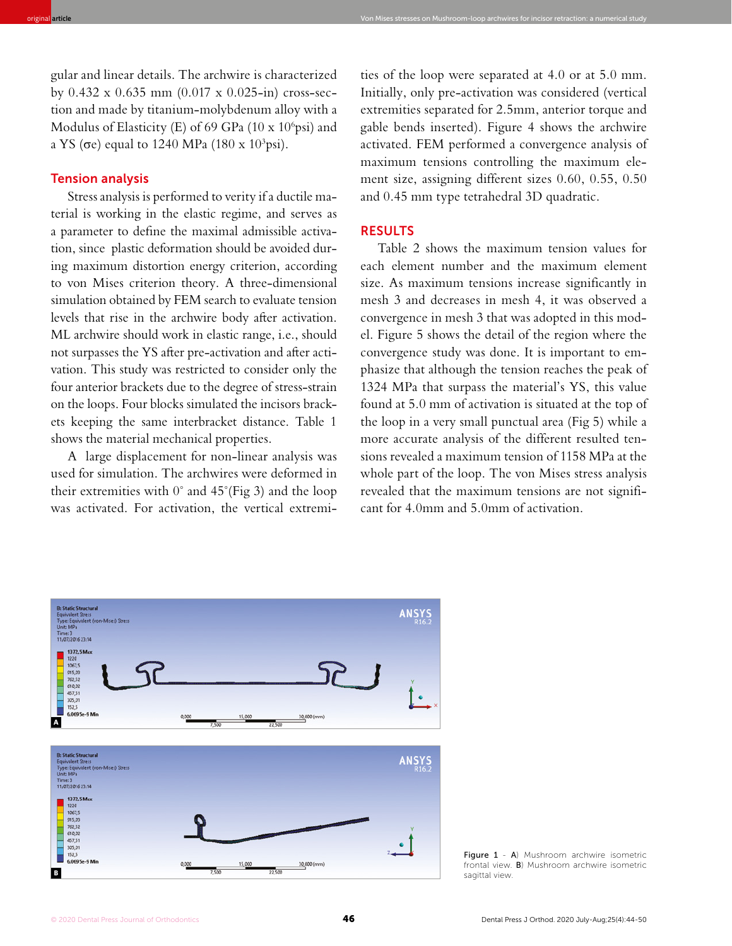gular and linear details. The archwire is characterized by 0.432 x 0.635 mm (0.017 x 0.025-in) cross-section and made by titanium-molybdenum alloy with a Modulus of Elasticity (E) of 69 GPa (10  $\times$  10<sup>6</sup>psi) and a YS ( $\sigma$ e) equal to 1240 MPa (180 x 10<sup>3</sup>psi).

## Tension analysis

Stress analysis is performed to verity if a ductile material is working in the elastic regime, and serves as a parameter to define the maximal admissible activation, since plastic deformation should be avoided during maximum distortion energy criterion, according to von Mises criterion theory. A three-dimensional simulation obtained by FEM search to evaluate tension levels that rise in the archwire body after activation. ML archwire should work in elastic range, i.e., should not surpasses the YS after pre-activation and after activation. This study was restricted to consider only the four anterior brackets due to the degree of stress-strain on the loops. Four blocks simulated the incisors brackets keeping the same interbracket distance. Table 1 shows the material mechanical properties.

A large displacement for non-linear analysis was used for simulation. The archwires were deformed in their extremities with  $0^{\circ}$  and  $45^{\circ}$ (Fig 3) and the loop was activated. For activation, the vertical extremities of the loop were separated at 4.0 or at 5.0 mm. Initially, only pre-activation was considered (vertical extremities separated for 2.5mm, anterior torque and gable bends inserted). Figure 4 shows the archwire activated. FEM performed a convergence analysis of maximum tensions controlling the maximum element size, assigning different sizes 0.60, 0.55, 0.50 and 0.45 mm type tetrahedral 3D quadratic.

## RESULTS

original **article** Von Mises stresses on Mushroom-loop archwires for incisor retraction: a numerical study

Table 2 shows the maximum tension values for each element number and the maximum element size. As maximum tensions increase significantly in mesh 3 and decreases in mesh 4, it was observed a convergence in mesh 3 that was adopted in this model. Figure 5 shows the detail of the region where the convergence study was done. It is important to emphasize that although the tension reaches the peak of 1324 MPa that surpass the material's YS, this value found at 5.0 mm of activation is situated at the top of the loop in a very small punctual area (Fig 5) while a more accurate analysis of the different resulted tensions revealed a maximum tension of 1158 MPa at the whole part of the loop. The von Mises stress analysis revealed that the maximum tensions are not significant for 4.0mm and 5.0mm of activation.



Figure 1 - A) Mushroom archwire isometric frontal view. B) Mushroom archwire isometric sagittal view.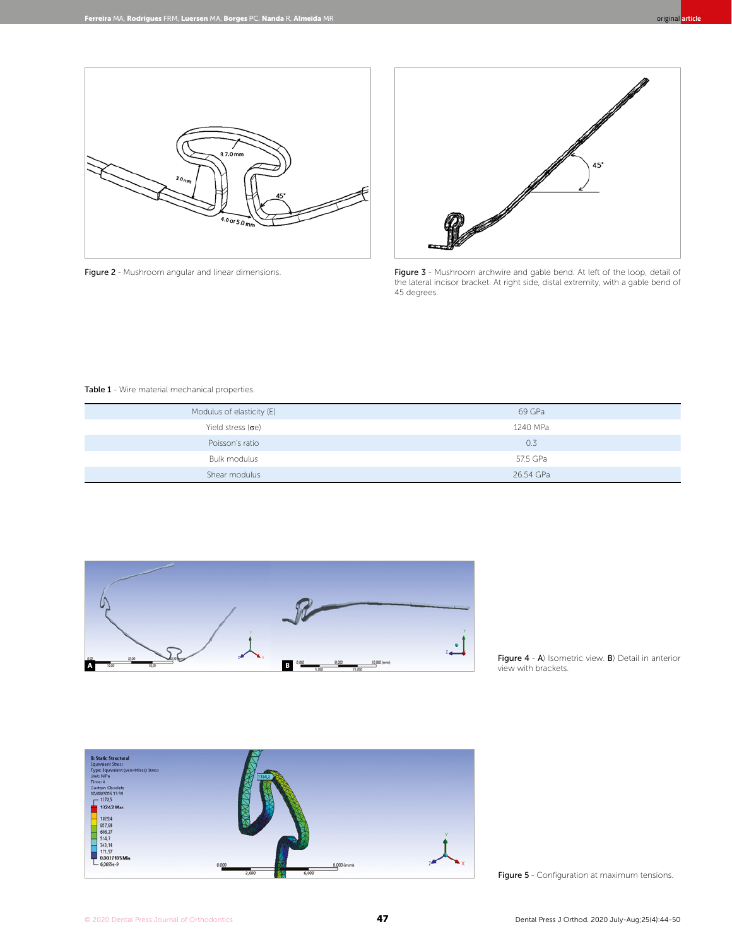



Figure 2 - Mushroom angular and linear dimensions. The Same State of the loop, detail of the loop, detail of the lateral incisor bracket. At right side, distal extremity, with a gable bend of 45 degrees.

### Table 1 - Wire material mechanical properties.

| Modulus of elasticity (E) | 69 GPa    |
|---------------------------|-----------|
| Yield stress $(\sigma e)$ | 1240 MPa  |
| Poisson's ratio           | 0.3       |
| Bulk modulus              | 57.5 GPa  |
| Shear modulus             | 26.54 GPa |



Figure 4 - A) Isometric view. B) Detail in anterior



Figure 5 - Configuration at maximum tensions.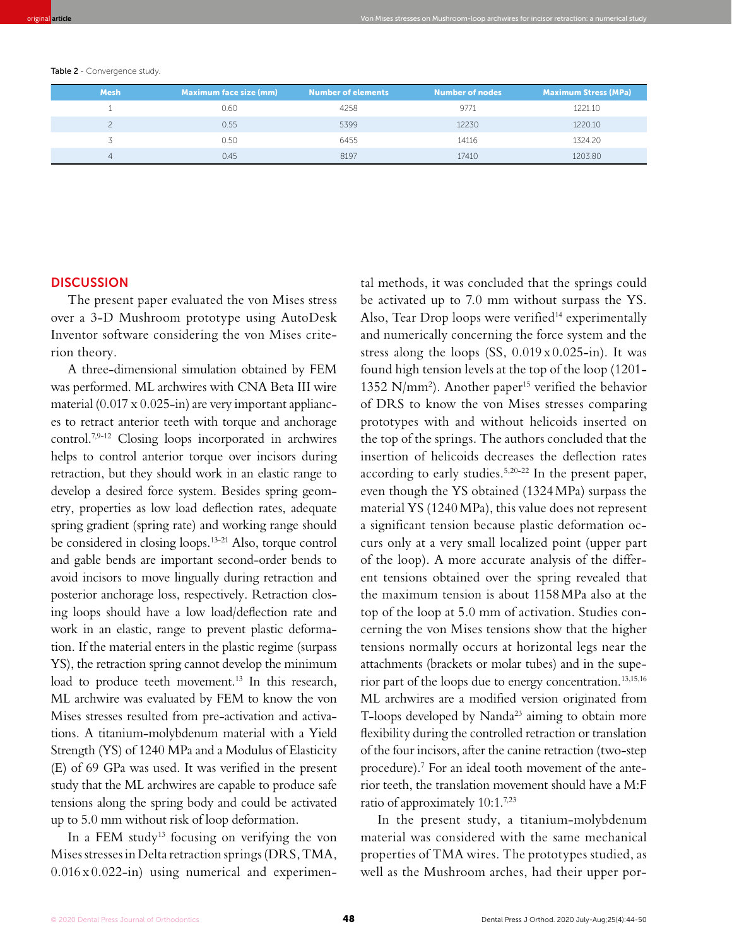| <b>Mesh</b>    | Maximum face size (mm) | <b>Number of elements</b> | <b>Number of nodes</b> | <b>Maximum Stress (MPa)</b> |
|----------------|------------------------|---------------------------|------------------------|-----------------------------|
|                | 0.60                   | 4258                      | 9771                   | 1221.10                     |
|                | 0.55                   | 5399                      | 12230                  | 1220.10                     |
|                | 0.50                   | 6455                      | 14116                  | 1324.20                     |
| $\overline{4}$ | 0.45                   | 8197                      | 17410                  | 1203.80                     |

#### Table 2 - Convergence study.

## **DISCUSSION**

The present paper evaluated the von Mises stress over a 3-D Mushroom prototype using AutoDesk Inventor software considering the von Mises criterion theory.

A three-dimensional simulation obtained by FEM was performed. ML archwires with CNA Beta III wire material (0.017 x 0.025-in) are very important appliances to retract anterior teeth with torque and anchorage control.7,9-12 Closing loops incorporated in archwires helps to control anterior torque over incisors during retraction, but they should work in an elastic range to develop a desired force system. Besides spring geometry, properties as low load deflection rates, adequate spring gradient (spring rate) and working range should be considered in closing loops.13-21 Also, torque control and gable bends are important second-order bends to avoid incisors to move lingually during retraction and posterior anchorage loss, respectively. Retraction closing loops should have a low load/deflection rate and work in an elastic, range to prevent plastic deformation. If the material enters in the plastic regime (surpass YS), the retraction spring cannot develop the minimum load to produce teeth movement.<sup>13</sup> In this research, ML archwire was evaluated by FEM to know the von Mises stresses resulted from pre-activation and activations. A titanium-molybdenum material with a Yield Strength (YS) of 1240 MPa and a Modulus of Elasticity (E) of 69 GPa was used. It was verified in the present study that the ML archwires are capable to produce safe tensions along the spring body and could be activated up to 5.0 mm without risk of loop deformation.

In a FEM study<sup>13</sup> focusing on verifying the von Mises stresses in Delta retraction springs (DRS, TMA, 0.016 x 0.022-in) using numerical and experimental methods, it was concluded that the springs could be activated up to 7.0 mm without surpass the YS. Also, Tear Drop loops were verified<sup>14</sup> experimentally and numerically concerning the force system and the stress along the loops  $(SS, 0.019x0.025-in)$ . It was found high tension levels at the top of the loop (1201- 1352  $N/mm<sup>2</sup>$ ). Another paper<sup>15</sup> verified the behavior of DRS to know the von Mises stresses comparing prototypes with and without helicoids inserted on the top of the springs. The authors concluded that the insertion of helicoids decreases the deflection rates according to early studies.5,20-22 In the present paper, even though the YS obtained (1324 MPa) surpass the material YS (1240 MPa), this value does not represent a significant tension because plastic deformation occurs only at a very small localized point (upper part of the loop). A more accurate analysis of the different tensions obtained over the spring revealed that the maximum tension is about 1158MPa also at the top of the loop at 5.0 mm of activation. Studies concerning the von Mises tensions show that the higher tensions normally occurs at horizontal legs near the attachments (brackets or molar tubes) and in the superior part of the loops due to energy concentration.13,15,16 ML archwires are a modified version originated from T-loops developed by Nanda<sup>23</sup> aiming to obtain more flexibility during the controlled retraction or translation of the four incisors, after the canine retraction (two-step procedure).7 For an ideal tooth movement of the anterior teeth, the translation movement should have a M:F ratio of approximately 10:1.7,23

In the present study, a titanium-molybdenum material was considered with the same mechanical properties of TMA wires. The prototypes studied, as well as the Mushroom arches, had their upper por-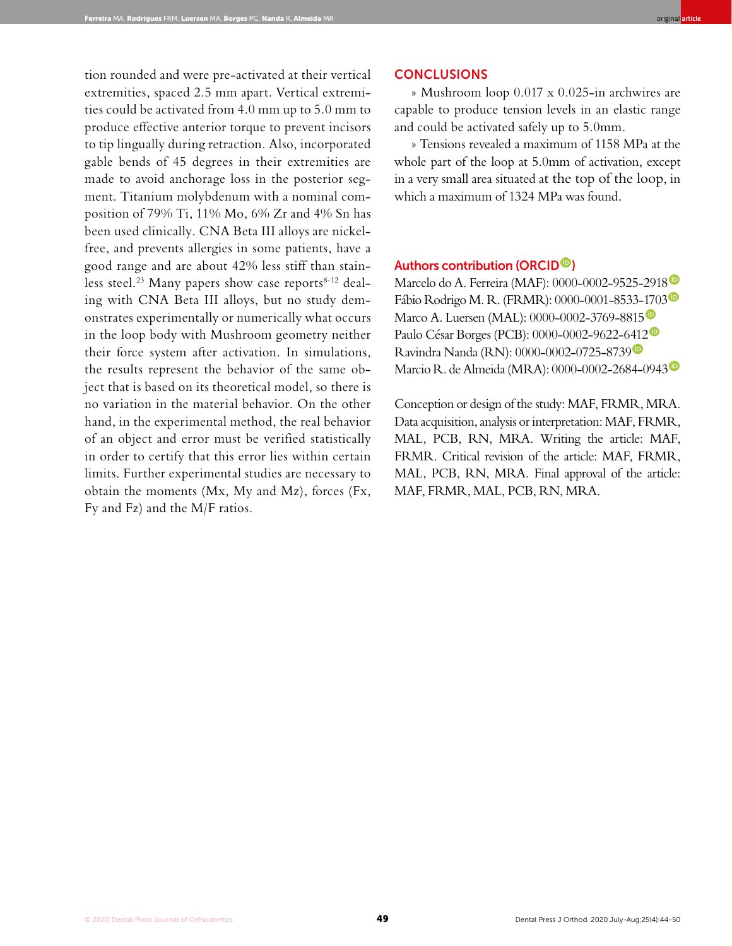tion rounded and were pre-activated at their vertical extremities, spaced 2.5 mm apart. Vertical extremities could be activated from 4.0 mm up to 5.0 mm to produce effective anterior torque to prevent incisors to tip lingually during retraction. Also, incorporated gable bends of 45 degrees in their extremities are made to avoid anchorage loss in the posterior segment. Titanium molybdenum with a nominal composition of 79% Ti, 11% Mo, 6% Zr and 4% Sn has been used clinically. CNA Beta III alloys are nickelfree, and prevents allergies in some patients, have a good range and are about 42% less stiff than stainless steel.<sup>23</sup> Many papers show case reports<sup>8-12</sup> dealing with CNA Beta III alloys, but no study demonstrates experimentally or numerically what occurs in the loop body with Mushroom geometry neither their force system after activation. In simulations, the results represent the behavior of the same object that is based on its theoretical model, so there is no variation in the material behavior. On the other hand, in the experimental method, the real behavior of an object and error must be verified statistically in order to certify that this error lies within certain limits. Further experimental studies are necessary to obtain the moments (Mx, My and Mz), forces (Fx, Fy and Fz) and the M/F ratios.

## **CONCLUSIONS**

» Mushroom loop 0.017 x 0.025-in archwires are capable to produce tension levels in an elastic range and could be activated safely up to 5.0mm.

» Tensions revealed a maximum of 1158 MPa at the whole part of the loop at 5.0mm of activation, except in a very small area situated at the top of the loop, in which a maximum of 1324 MPa was found.

## Authors contribution (ORCID<sup>®</sup>)

Marcelo do A. Ferreira (MAF): 0000-0002-9525-2918 Fábio Rodrigo M. R. (FRMR): 0000-0001-8533-1703 Marco A. Luersen (MAL): 0000-0002-3769-8815 Paulo César Borges (PCB): 0000-0002-9622-6412<sup>0</sup> Ravindra Nanda (RN): 0000-0002-0725-8739 Marcio R. de Almeida (MRA): 0000-0002-2684-0943<sup><sup>®</sup></sup>

Conception or design of the study: MAF, FRMR, MRA. Data acquisition, analysis or interpretation: MAF, FRMR, MAL, PCB, RN, MRA. Writing the article: MAF, FRMR. Critical revision of the article: MAF, FRMR, MAL, PCB, RN, MRA. Final approval of the article: MAF, FRMR, MAL, PCB, RN, MRA.